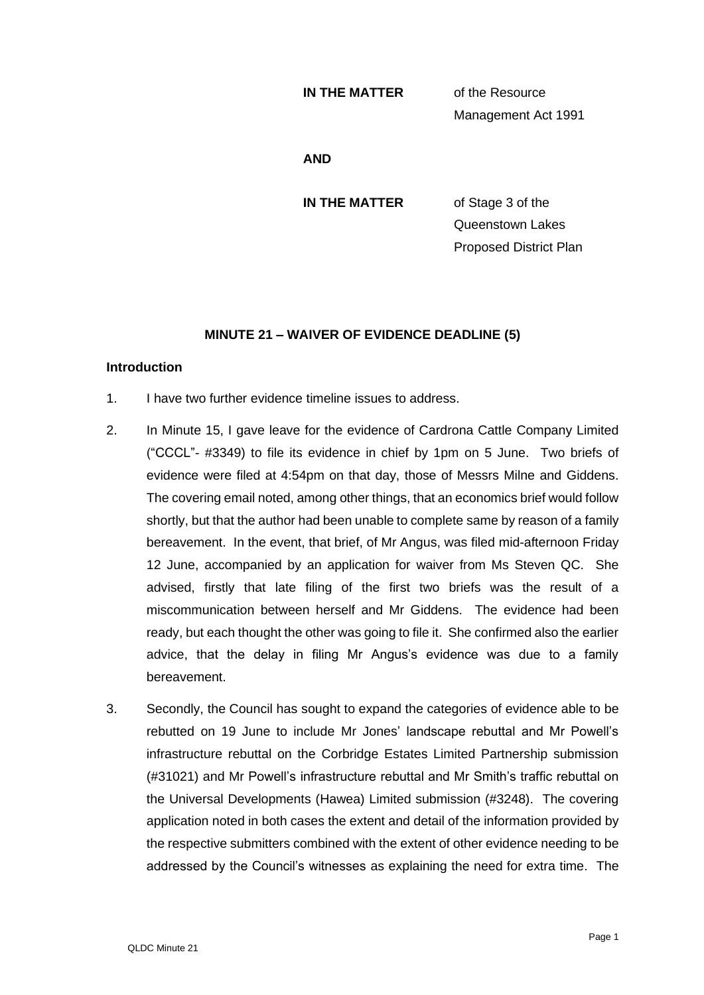#### **IN THE MATTER** of the Resource

Management Act 1991

**AND**

**IN THE MATTER** of Stage 3 of the

Queenstown Lakes Proposed District Plan

## **MINUTE 21 – WAIVER OF EVIDENCE DEADLINE (5)**

### **Introduction**

- 1. I have two further evidence timeline issues to address.
- 2. In Minute 15, I gave leave for the evidence of Cardrona Cattle Company Limited ("CCCL"- #3349) to file its evidence in chief by 1pm on 5 June. Two briefs of evidence were filed at 4:54pm on that day, those of Messrs Milne and Giddens. The covering email noted, among other things, that an economics brief would follow shortly, but that the author had been unable to complete same by reason of a family bereavement. In the event, that brief, of Mr Angus, was filed mid-afternoon Friday 12 June, accompanied by an application for waiver from Ms Steven QC. She advised, firstly that late filing of the first two briefs was the result of a miscommunication between herself and Mr Giddens. The evidence had been ready, but each thought the other was going to file it. She confirmed also the earlier advice, that the delay in filing Mr Angus's evidence was due to a family bereavement.
- 3. Secondly, the Council has sought to expand the categories of evidence able to be rebutted on 19 June to include Mr Jones' landscape rebuttal and Mr Powell's infrastructure rebuttal on the Corbridge Estates Limited Partnership submission (#31021) and Mr Powell's infrastructure rebuttal and Mr Smith's traffic rebuttal on the Universal Developments (Hawea) Limited submission (#3248). The covering application noted in both cases the extent and detail of the information provided by the respective submitters combined with the extent of other evidence needing to be addressed by the Council's witnesses as explaining the need for extra time. The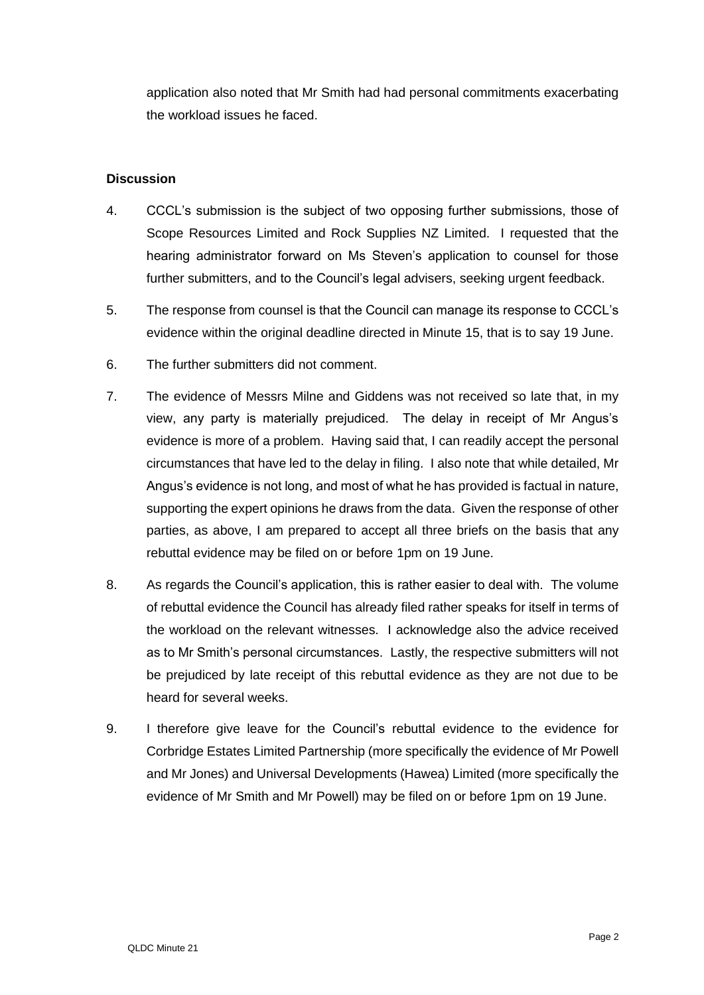application also noted that Mr Smith had had personal commitments exacerbating the workload issues he faced.

## **Discussion**

- 4. CCCL's submission is the subject of two opposing further submissions, those of Scope Resources Limited and Rock Supplies NZ Limited. I requested that the hearing administrator forward on Ms Steven's application to counsel for those further submitters, and to the Council's legal advisers, seeking urgent feedback.
- 5. The response from counsel is that the Council can manage its response to CCCL's evidence within the original deadline directed in Minute 15, that is to say 19 June.
- 6. The further submitters did not comment.
- 7. The evidence of Messrs Milne and Giddens was not received so late that, in my view, any party is materially prejudiced. The delay in receipt of Mr Angus's evidence is more of a problem. Having said that, I can readily accept the personal circumstances that have led to the delay in filing. I also note that while detailed, Mr Angus's evidence is not long, and most of what he has provided is factual in nature, supporting the expert opinions he draws from the data. Given the response of other parties, as above, I am prepared to accept all three briefs on the basis that any rebuttal evidence may be filed on or before 1pm on 19 June.
- 8. As regards the Council's application, this is rather easier to deal with. The volume of rebuttal evidence the Council has already filed rather speaks for itself in terms of the workload on the relevant witnesses. I acknowledge also the advice received as to Mr Smith's personal circumstances. Lastly, the respective submitters will not be prejudiced by late receipt of this rebuttal evidence as they are not due to be heard for several weeks.
- 9. I therefore give leave for the Council's rebuttal evidence to the evidence for Corbridge Estates Limited Partnership (more specifically the evidence of Mr Powell and Mr Jones) and Universal Developments (Hawea) Limited (more specifically the evidence of Mr Smith and Mr Powell) may be filed on or before 1pm on 19 June.